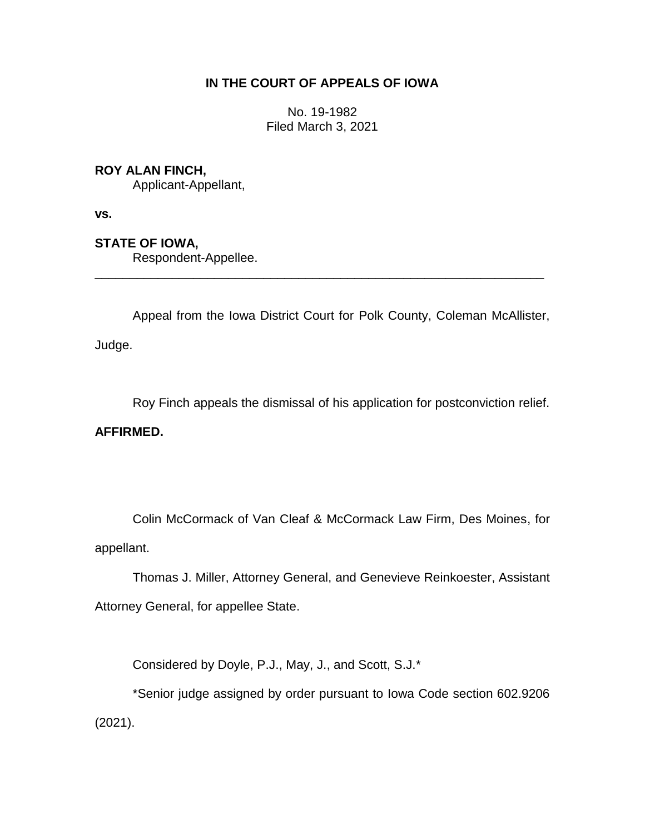# **IN THE COURT OF APPEALS OF IOWA**

No. 19-1982 Filed March 3, 2021

## **ROY ALAN FINCH,**

Applicant-Appellant,

**vs.**

# **STATE OF IOWA,**

Respondent-Appellee.

Appeal from the Iowa District Court for Polk County, Coleman McAllister,

\_\_\_\_\_\_\_\_\_\_\_\_\_\_\_\_\_\_\_\_\_\_\_\_\_\_\_\_\_\_\_\_\_\_\_\_\_\_\_\_\_\_\_\_\_\_\_\_\_\_\_\_\_\_\_\_\_\_\_\_\_\_\_\_

Judge.

Roy Finch appeals the dismissal of his application for postconviction relief.

## **AFFIRMED.**

Colin McCormack of Van Cleaf & McCormack Law Firm, Des Moines, for appellant.

Thomas J. Miller, Attorney General, and Genevieve Reinkoester, Assistant Attorney General, for appellee State.

Considered by Doyle, P.J., May, J., and Scott, S.J.\*

\*Senior judge assigned by order pursuant to Iowa Code section 602.9206 (2021).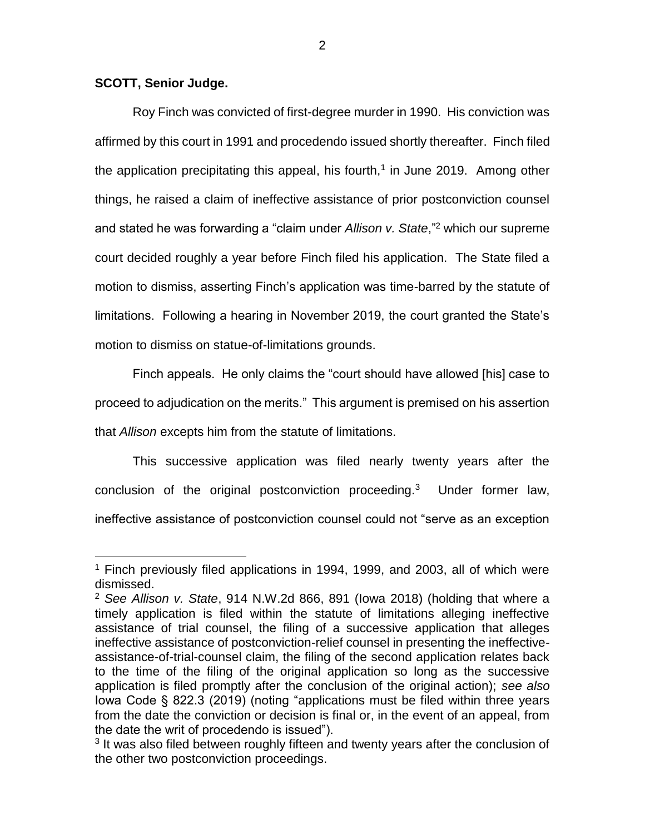#### **SCOTT, Senior Judge.**

 $\overline{a}$ 

Roy Finch was convicted of first-degree murder in 1990. His conviction was affirmed by this court in 1991 and procedendo issued shortly thereafter. Finch filed the application precipitating this appeal, his fourth,<sup>1</sup> in June 2019. Among other things, he raised a claim of ineffective assistance of prior postconviction counsel and stated he was forwarding a "claim under *Allison v. State*,"<sup>2</sup> which our supreme court decided roughly a year before Finch filed his application. The State filed a motion to dismiss, asserting Finch's application was time-barred by the statute of limitations. Following a hearing in November 2019, the court granted the State's motion to dismiss on statue-of-limitations grounds.

Finch appeals. He only claims the "court should have allowed [his] case to proceed to adjudication on the merits." This argument is premised on his assertion that *Allison* excepts him from the statute of limitations.

This successive application was filed nearly twenty years after the conclusion of the original postconviction proceeding.<sup>3</sup> Under former law, ineffective assistance of postconviction counsel could not "serve as an exception

<sup>1</sup> Finch previously filed applications in 1994, 1999, and 2003, all of which were dismissed.

<sup>2</sup> *See Allison v. State*, 914 N.W.2d 866, 891 (Iowa 2018) (holding that where a timely application is filed within the statute of limitations alleging ineffective assistance of trial counsel, the filing of a successive application that alleges ineffective assistance of postconviction-relief counsel in presenting the ineffectiveassistance-of-trial-counsel claim, the filing of the second application relates back to the time of the filing of the original application so long as the successive application is filed promptly after the conclusion of the original action); *see also*  Iowa Code § 822.3 (2019) (noting "applications must be filed within three years from the date the conviction or decision is final or, in the event of an appeal, from the date the writ of procedendo is issued").

<sup>&</sup>lt;sup>3</sup> It was also filed between roughly fifteen and twenty years after the conclusion of the other two postconviction proceedings.